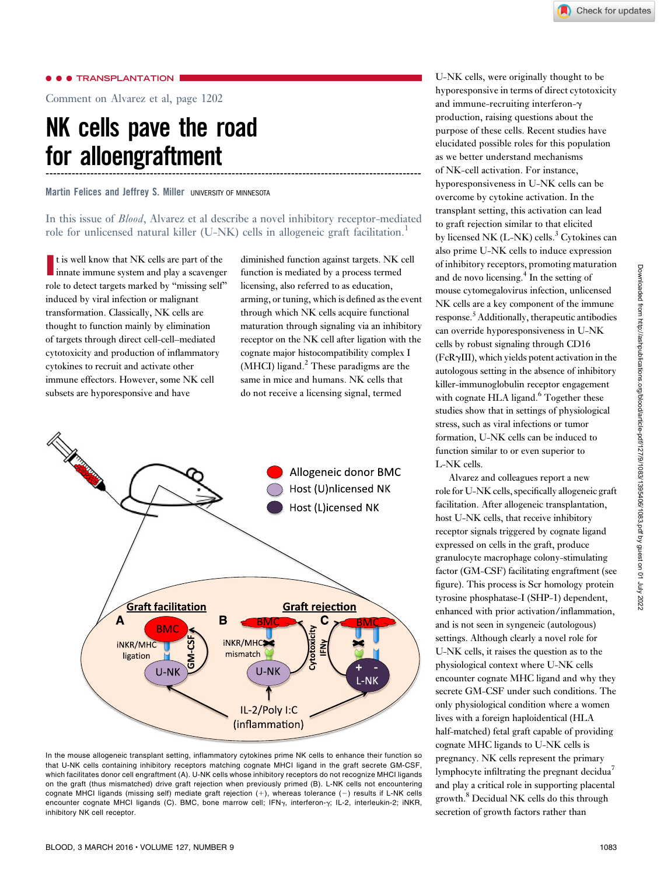### $\bullet$  TRANSPLANTATION

Comment on [Alvarez et al, page 1202](http://www.bloodjournal.org/content/127/9/1202)

# NK cells pave the road for alloengraftment -----------------------------------------------------------------------------------------------------

Martin Felices and Jeffrey S. Miller UNIVERSITY OF MINNESOTA

# In this issue of Blood, [Alvarez et al](http://www.bloodjournal.org/content/127/9/1202) describe a novel inhibitory receptor-mediated role for unlicensed natural killer (U-NK) cells in allogeneic graft facilitation.<sup>1</sup>

It is well know that NK cells are part of the<br>innate immune system and play a scavenger t is well know that NK cells are part of the role to detect targets marked by "missing self" induced by viral infection or malignant transformation. Classically, NK cells are thought to function mainly by elimination of targets through direct cell-cell–mediated cytotoxicity and production of inflammatory cytokines to recruit and activate other immune effectors. However, some NK cell subsets are hyporesponsive and have

diminished function against targets. NK cell function is mediated by a process termed licensing, also referred to as education, arming, or tuning, which is defined as the event through which NK cells acquire functional maturation through signaling via an inhibitory receptor on the NK cell after ligation with the cognate major histocompatibility complex I (MHCI) ligand. $<sup>2</sup>$  These paradigms are the</sup> same in mice and humans. NK cells that do not receive a licensing signal, termed



In the mouse allogeneic transplant setting, inflammatory cytokines prime NK cells to enhance their function so that U-NK cells containing inhibitory receptors matching cognate MHCI ligand in the graft secrete GM-CSF, which facilitates donor cell engraftment (A). U-NK cells whose inhibitory receptors do not recognize MHCI ligands on the graft (thus mismatched) drive graft rejection when previously primed (B). L-NK cells not encountering cognate MHCI ligands (missing self) mediate graft rejection  $(+)$ , whereas tolerance  $(-)$  results if L-NK cells encounter cognate MHCI ligands (C). BMC, bone marrow cell; IFNy, interferon-y; IL-2, interleukin-2; iNKR, inhibitory NK cell receptor.

U-NK cells, were originally thought to be hyporesponsive in terms of direct cytotoxicity and immune-recruiting interferon-g production, raising questions about the purpose of these cells. Recent studies have elucidated possible roles for this population as we better understand mechanisms of NK-cell activation. For instance, hyporesponsiveness in U-NK cells can be overcome by cytokine activation. In the transplant setting, this activation can lead to graft rejection similar to that elicited by licensed NK  $(L-NK)$  cells.<sup>3</sup> Cytokines can also prime U-NK cells to induce expression of inhibitory receptors, promoting maturation and de novo licensing. $<sup>4</sup>$  In the setting of</sup> mouse cytomegalovirus infection, unlicensed NK cells are a key component of the immune response.<sup>5</sup> Additionally, therapeutic antibodies can override hyporesponsiveness in U-NK cells by robust signaling through CD16  $(FcR\gamma III)$ , which yields potent activation in the autologous setting in the absence of inhibitory killer-immunoglobulin receptor engagement with cognate HLA ligand.<sup>6</sup> Together these studies show that in settings of physiological stress, such as viral infections or tumor formation, U-NK cells can be induced to function similar to or even superior to L-NK cells.

Alvarez and colleagues report a new role for U-NK cells, specifically allogeneic graft facilitation. After allogeneic transplantation, host U-NK cells, that receive inhibitory receptor signals triggered by cognate ligand expressed on cells in the graft, produce granulocyte macrophage colony-stimulating factor (GM-CSF) facilitating engraftment (see figure). This process is Scr homology protein tyrosine phosphatase-I (SHP-1) dependent, enhanced with prior activation/inflammation, and is not seen in syngeneic (autologous) settings. Although clearly a novel role for U-NK cells, it raises the question as to the physiological context where U-NK cells encounter cognate MHC ligand and why they secrete GM-CSF under such conditions. The only physiological condition where a women lives with a foreign haploidentical (HLA half-matched) fetal graft capable of providing cognate MHC ligands to U-NK cells is pregnancy. NK cells represent the primary lymphocyte infiltrating the pregnant decidua<sup>7</sup> and play a critical role in supporting placental growth.<sup>8</sup> Decidual NK cells do this through secretion of growth factors rather than